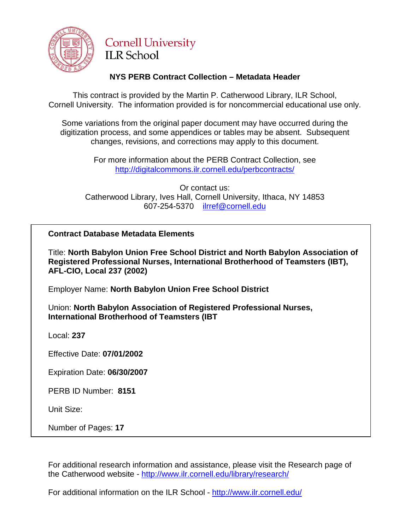

# **Cornell University ILR School**

## **NYS PERB Contract Collection – Metadata Header**

This contract is provided by the Martin P. Catherwood Library, ILR School, Cornell University. The information provided is for noncommercial educational use only.

Some variations from the original paper document may have occurred during the digitization process, and some appendices or tables may be absent. Subsequent changes, revisions, and corrections may apply to this document.

> For more information about the PERB Contract Collection, see http://digitalcommons.ilr.cornell.edu/perbcontracts/

Or contact us: Catherwood Library, Ives Hall, Cornell University, Ithaca, NY 14853 607-254-5370 [ilrref@cornell.edu](mailto:ilrref@cornell.edu)

## **Contract Database Metadata Elements**

Title: **North Babylon Union Free School District and North Babylon Association of Registered Professional Nurses, International Brotherhood of Teamsters (IBT), AFL-CIO, Local 237 (2002)**

Employer Name: **North Babylon Union Free School District**

Union: **North Babylon Association of Registered Professional Nurses, International Brotherhood of Teamsters (IBT**

Local: **237**

Effective Date: **07/01/2002**

Expiration Date: **06/30/2007**

PERB ID Number: **8151**

Unit Size:

Number of Pages: **17**

For additional research information and assistance, please visit the Research page of the Catherwood website - <http://www.ilr.cornell.edu/library/research/>

For additional information on the ILR School - <http://www.ilr.cornell.edu/>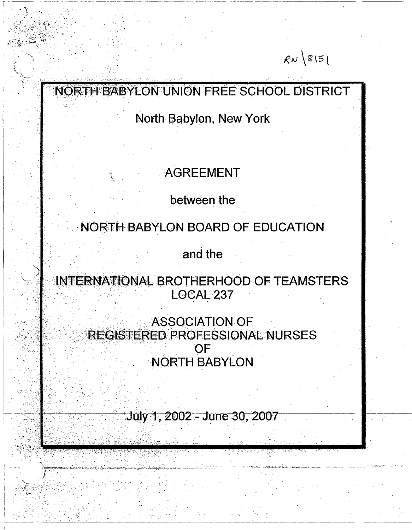# $R\nu$  8151

# **NORTH BABYLON UNION FREE SCHOOL DISTRICT**

**North Babylon, New York**

# **, AGREEMENT**

 $\mathbf{v} = \mathbf{v}$  , where  $\mathbf{v} = \mathbf{v}$  is a set of  $\mathbf{v} = \mathbf{v}$  , where  $\mathbf{v} = \mathbf{v}$  is a set of  $\mathbf{v} = \mathbf{v}$ 

**between the**

**NORTH BABYLON BOARD OF EDUCATION**

**and the**

**INTERNATIONAL BROTHERHOOD OF TEAMSTERS LOCAL 237**

> **ASSOCIATION OF REGISTERED PROFESSIONAL NURSES OF NORTH BABYLON**

> > July 1, 2002 - June 30, 2007

• .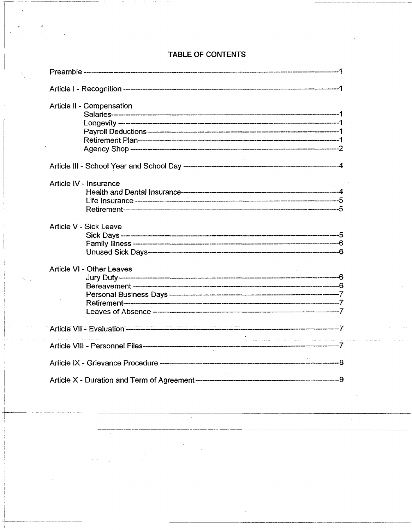| Article II - Compensation                                                                                       |  |
|-----------------------------------------------------------------------------------------------------------------|--|
|                                                                                                                 |  |
| Article IV - Insurance                                                                                          |  |
| Article V - Sick Leave                                                                                          |  |
| Article VI - Other Leaves                                                                                       |  |
|                                                                                                                 |  |
| ال المداور والأول الرئيس ، ولا والاستعداد وسول ولي الأول المداور والمعداد المداور ومعاملتها والمراجع متعطف ستعش |  |
|                                                                                                                 |  |
|                                                                                                                 |  |

 $\omega \neq 0$ 

 $\sim$ 

 $\mathbb{Z}^2$ 

 $\mathcal{A}^{\mathcal{A}}$ 

## TABLE OF CONTENTS

 $\ddot{\phantom{a}}$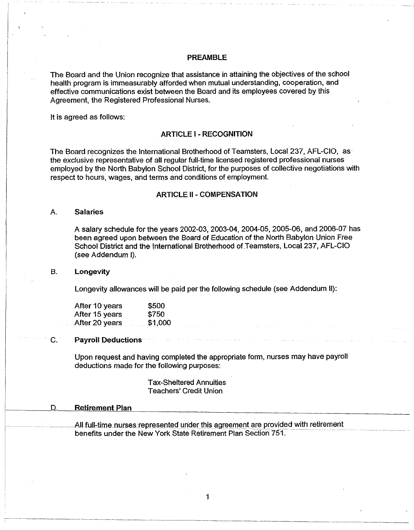#### <span id="page-3-0"></span>PREAMBLE

The Board and the Union recognize that assistance in attaining the objectives of the school health program is immeasurably afforded when mutual understanding, cooperation, and effective communications exist between the Board and its employees covered by this Agreement, the Registered Professional Nurses.

<span id="page-3-1"></span>It is agreed as follows:

#### ARTICLE I - RECOGNITION

The Board recognizes the International Brotherhood of Teamsters, Local 237, AFL-CIO, as the exclusive representative of all regular full-time licensed registered professional nurses employed by the North Babylon School District, for the purposes of collective negotiations with respect to hours, wages, and terms and conditions of employment.

#### ARTICLE II - COMPENSATION

#### A. Salaries

A salary schedule for the years 2002-03, 2003-04, 2004-05, 2005-06, and 2006-07 has been agreed upon between the Board of Education of the North Babylon Union Free School District and the International Brotherhood of Teamsters, Local 237, AFL-CIO (see Addendum I).

#### B. Longevity

Longevity allowances will be paid per the following schedule (see Addendum II):

| After 10 years | \$500   |
|----------------|---------|
| After 15 years | \$750   |
| After 20 years | \$1,000 |

#### C. Payroll Deductions

Upon request and having completed the appropriate form, nurses may have payroll deductions made for the following purposes:

> Tax-Sheltered Annuities Teachers' Credit Union

#### D. Retirement Plan

All full-time nurses represented under this agreement are provided with retirement benefits under the New York State Retirement Plan Section 751.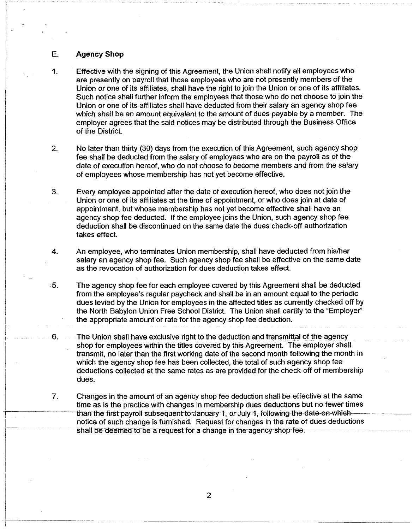#### E. Agency Shop

- 1. Effective with the signing of this Agreement, the Union shall notify all employees who are presently on payroll that those employees who are not presently members of the Union or one of its affiliates, shall have the right to join the Union or one of its affiliates. Such notice shall further inform the employees that those who do not choose to join the Union or one of its affiliates shall have deducted from their salary an agency shop fee which shall be an amount equivalent to the amount of dues payable by a member. The employer agrees that the said notices may be distributed through the Business Office of the District.
- 2. No later than thirty (30) days from the execution of this Agreement, such agency shop fee shall be deducted from the salary of employees who are on the payroll as of the date of execution hereof, who do not choose to become members and from the salary of employees whose membership has not yet become effective.
- 3. Every employee appointed after the date of execution hereof, who does not join the Union or one of its affiliates at the time of appointment, or who does join at date of appointment, but whose membership has not yet become effective shall have an agency shop fee deducted. If the employee joins the Union, such agency shop fee deduction shall be discontinued on the same date the dues check-off authorization takes effect.
- 4. An employee, who terminates Union membership, shall have deducted from his/her salary an agency shop fee. Such agency shop fee shall be effective on the same date as the revocation of authorization for dues deduction takes effect.
- 5. The agency shop fee for each employee covered by this Agreement shall be deducted from the employee's regular paycheck and shall be in an amount equal to the periodic dues levied by the Union for employees in the affected titles as currently checked off by the North Babylon Union Free School District. The Union shall certify to the "Employer" the appropriate amount or rate for the agency shop fee deduction.
- 6. The Union shall have exclusive right to the deduction and transmittal of the agency shop for employees within the titles covered by this Agreement. The employer shall transmit, no later than the first working date of the second month following the month in which the agency shop fee has been collected, the total of such agency shop fee deductions collected at the same rates as are provided for the check-off of membership dues.
- 7. Changes in the amount of an agency shop fee deduction shall be effective at the same time as is the practice with changes in membership dues deductions but no fewer times than the first payroll subsequent to January 1, or July 1, following-the-date-on-whichnotice of such change is furnished. Request for changes in the rate of dues deductions shall be deemed to be a request for a change in the agency shop fee.

**2**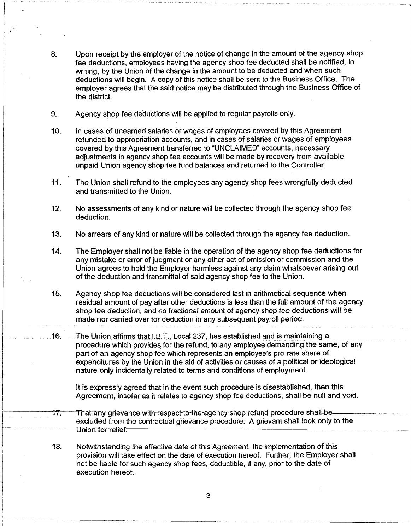- 8. Upon receipt by the employer of the notice of change in the amount of the agency shop fee deductions, employees having the agency shop fee deducted shall be notified, in writing, by the Union of the change in the amount to be deducted and when such deductions will begin. A copy of this notice shall be sent to the Business Office. The employer agrees that the said notice may be distributed through the Business Office of the district.
- 9. Agency shop fee deductions will be applied to regular payrolls only.
- 10. In cases of unearned salaries or wages of employees covered by this Agreement refunded to appropriation accounts, and in cases of salaries or wages of employees covered by this Agreement transferred to "UNCLAIMED" accounts, necessary adjustments in agency shop fee accounts will be made by recovery from available unpaid Union agency shop fee fund balances and returned to the Controller.
- 11. The Union shall refund to the employees any agency shop fees wrongfully deducted and transmitted to the Union.
- 12. No assessments of any kind or nature will be collected through the agency shop fee deduction.
- 13. No arrears of any kind or nature will be collected through the agency fee deduction.
- 14. The Employer shall not be liable in the operation of the agency shop fee deductions for any mistake or error of judgment or any other act of omission or commission and the Union agrees to hold the Employer harmless against any claim whatsoever arising out of the deduction and transmittal of said agency shop fee to the Union.
- 15. Agency shop fee deductions will be considered last in arithmetical sequence when residual amount of pay after other deductions is less than the full amount of the agency shop fee deduction, and no fractional amount of agency shop fee deductions will be made nor carried over for deduction in any subsequent payroll period.
- 16. The Union affirms that I.B.T., Local 237, has established and is maintaining a procedure which provides for the refund, to any employee demanding the same, of any part of an agency shop fee which represents an employee's pro rate share of expenditures by the Union in the aid of activities or causes of a political or ideological nature only incidentally related to terms and conditions of employment.

It is expressly agreed that in the event such procedure is disestablished, then this Agreement, insofar as it relates to agency shop fee deductions, shall be null and void.

- 17. That any grievance with respect to the agency shop refund procedure-shall-beexcluded from the contractual grievance procedure. A grievant shall look only to the Union for relief.
- 18. Notwithstanding the effective date of this Agreement, the implementation of this provision will take effect on the date of execution hereof. Further, the Employer shall not be liable for such agency shop fees, deductible, if any, prior to the date of execution hereof.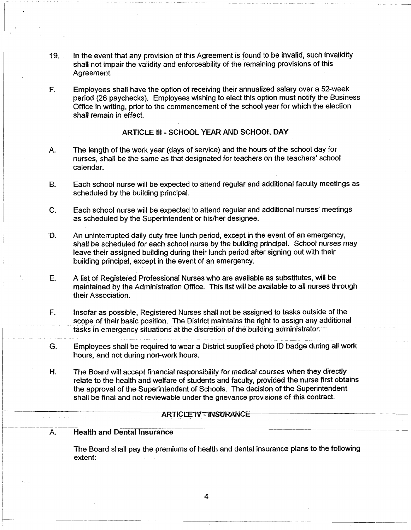- 19. In the event that any provision of this Agreement is found to be invalid, such invalidity shall not impair the validity and enforceability of the remaining provisions of this Agreement.
- F. Employees shall have the option of receiving their annualized salary over a 52-week period (26 paychecks). Employees wishing to elect this option must notify the Business Office in writing, prior to the commencement of the school year for which the election shall remain in effect.

#### ARTICLE III - SCHOOL YEAR AND SCHOOL DAY

- A. The length of the work year (days of service) and the hours of the school day for nurses, shall be the same as that designated for teachers on the teachers' school calendar.
- B. Each school nurse will be expected to attend regular and additional faculty meetings as scheduled by the building principal.
- C. Each school nurse will be expected to attend regular and additional nurses' meetings as scheduled by the Superintendent or his/her designee.
- D. An uninterrupted daily duty free lunch period, except in the event of an emergency, shall be scheduled for each school nurse by the building principal. School nurses may leave their assigned building during their lunch period after signing out with their building principal, except in the event of an emergency.
- E. A list of Registered Professional Nurses who are available as substitutes, will be maintained by the Administration Office. This list will be available to all nurses through their Association.
- F. Insofar as possible, Registered Nurses shall not be assigned to tasks outside of the scope of their basic position. The District maintains the right to assign any additional tasks in emergency situations at the discretion of the building administrator.
- G. Employees shall be required to wear a District supplied photo ID badge during all work hours, and not during non-work hours.
- H. The Board will accept financial responsibility for medical courses when they directly relate to the health and welfare of students and faculty, provided the nurse first obtains the approval of the Superintendent of Schools. The decision of the Superintendent shall be final and not reviewable under the grievance provisions of this contract.

#### ARTICLE IV - INSURANCE

#### A. Health and Dental Insurance

The Board shall pay the premiums of health and dental insurance plans to the following extent: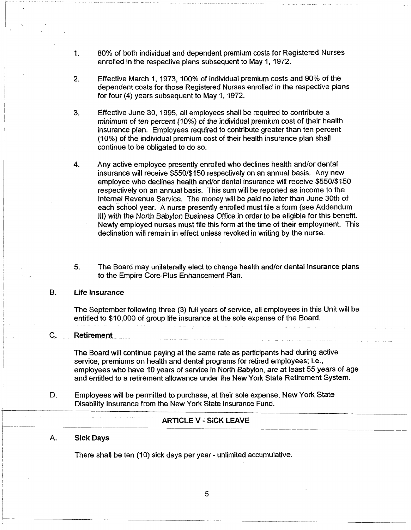- 1. 80% of both individual and dependent premium costs for Registered Nurses enrolled in the respective plans subsequent to May 1, 1972.
- 2. Effective March 1, 1973,100% of individual premium costs and 90% of the dependent costs for those Registered Nurses enrolled in the respective plans for four (4) years subsequent to May 1,1972.
- 3. Effective June 30, 1995, all employees shall be required to contribute a *minimum of* ten percent (10%) of the individual premium cost of their health insurance plan. Employees required to contribute greater than ten percent (10%) of the individual premium cost of their health insurance plan shall continue to be obligated to do so.
- 4. Any active employee presently enrolled who declines health and/or dental insurance will receive \$550/\$150 respectively on an annual basis. Any new employee who declines health and/or dental insurance will receive \$550/\$150 respectively on an annual basis. This sum will be reported as income to the Internal Revenue Service. The money will be paid no later than June 30th of each school year. A nurse presently enrolled must file a form (see Addendum III) with the North Babylon Business Office in order to be eligible for this benefit. Newly employed nurses must file this form at the time of their employment. This declination will remain in effect unless revoked in writing by the nurse.
- 5. The Board may unilaterally elect to change health and/or dental insurance plans to the Empire Core-Plus Enhancement Plan.

#### B. Life Insurance

The September following three (3) full years of service, all employees in this Unit will be entitled to \$10,000 of group life insurance at the sole expense of the Board.

## C. Retirement

The Board will continue paying at the same rate as participants had during active service, premiums on health and dental programs for retired employees; i.e., employees who have 10 years of service in North Babylon, are at least 55 years of age and entitled to a retirement allowance under the New York State Retirement System.

D. Employees will be permitted to purchase, at their sole expense, New York State Disability Insurance from the New York State Insurance Fund.

#### ARTICLE V - SICK LEAVE

#### A. Sick Days

There shall be ten (10) sick days per year - unlimited accumulative.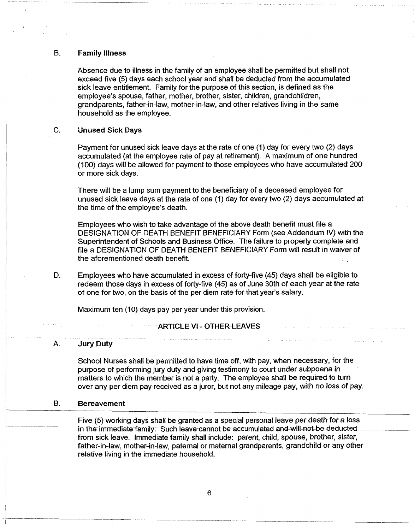#### B. Family illness

Absence due to illness in the family of an employee shall be permitted but shall not exceed five (5) days each school year and shall be deducted from the accumulated sick leave entitlement. Family for the purpose of this section, is defined as the employee's spouse, father, mother, brother, sister, children, grandchildren, grandparents, father-in-law, mother-in-law, and other relatives living in the same household as the employee.

#### C. Unused Sick Days

Payment for unused sick leave days at the rate of one (1) day for every two (2) days accumulated (at the employee rate of pay at retirement). A maximum of one hundred (100) days will be allowed for payment to those employees who have accumulated 200 or more sick days.

There will be a lump sum payment to the beneficiary of a deceased employee for unused sick leave days at the rate of one (1) day for every two (2) days accumulated at the time of the employee's death.

Employees who wish to take advantage of the above death benefit must file a DESIGNATION OF DEATH BENEFIT BENEFICIARY Form (see Addendum IV) with the Superintendent of Schools and Business Office. The failure to properly complete and file a DESIGNATION OF DEATH BENEFIT BENEFICIARY Form will result in waiver of the aforementioned death benefit.

D. Employees who have accumulated in excess of forty-five (45) days shall be eligible to redeem those days in excess of forty-five (45) as of June 30th of each year at the rate of one for two, on the basis of the per diem rate for that year's salary.

Maximum ten (10) days pay per year under this provision.

#### **ARTICLE VI - OTHER LEAVES**

#### A. Jury Duty

School Nurses shall be permitted to have time off, with pay, when necessary, for the purpose of performing jury duty and giving testimony to court under subpoena in matters to which the member is not a party. The employee shall be required to turn over any per diem pay received as a juror, but not any mileage pay, with no loss of pay.

#### B. Bereavement

Five (5) working days shall be granted as a special personal leave per death for a loss in the immediate family. Such leave cannot be accumulated and will not be deducted from sick leave. Immediate family shall include: parent, child, spouse, brother, sister, father-in-law, mother-in-law, paternal or maternal grandparents, grandchild or any other relative living in the immediate household.

**6**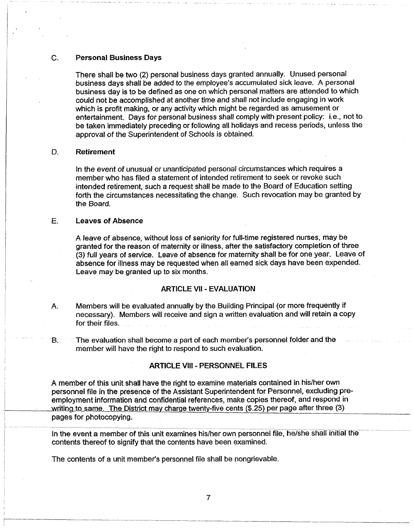#### C. Personal Business Days

There shall be two (2) personal business days granted annually. Unused personal business days shall be added to the employee's accumulated sick leave. A personal business day is to be defined as one on which personal matters are attended to which could not be accomplished at another time and shall not include engaging in work which is profit making, or any activity which might be regarded as amusement or entertainment. Days for personal business shall comply with present policy: i.e., not to be taken immediately preceding or following all holidays and recess periods, unless the approval of the Superintendent of Schools is obtained.

#### D. Retirement

In the event of unusual or unanticipated personal circumstances which requires a member who has filed a statement of intended retirement to seek or revoke such intended retirement, such a request shall be made to the Board of Education setting forth the circumstances necessitating the change. Such revocation may be granted by the Board.

#### E. Leaves of Absence

A leave of absence, without loss of seniority for full-time registered nurses, may be granted for the reason of maternity or illness, after the satisfactory completion of three (3) full years of service. Leave of absence for maternity shall be for one year. Leave of absence for illness may be requested when all earned sick days have been expended. Leave may be granted up to six months.

#### ARTICLE VII - EVALUATION

- <span id="page-9-0"></span>A. Members will be evaluated annually by the Building Principal (or more frequently if necessary). Members will receive and sign a written evaluation and will retain a copy for their files.
- <span id="page-9-1"></span>B. The evaluation shall become a part of each member's personnel folder and the member will have the right to respond to such evaluation.

#### ARTICLE VIII - PERSONNEL FILES

A member of this unit shall have the right to examine materials contained in his/her own personnel file in the presence of the Assistant Superintendent for Personnel, excluding preemployment information and confidential references, make copies thereof, and respond in writing to same. The District may charge twenty-five cents (\$.25) per page after three (3) pages for photocopying.

In the event a member of this unit examines his/her own personnel file, he/she shall initial the contents thereof to signify that the contents have been examined.

The contents of a unit member's personnel file shall be nongrievable.

**7**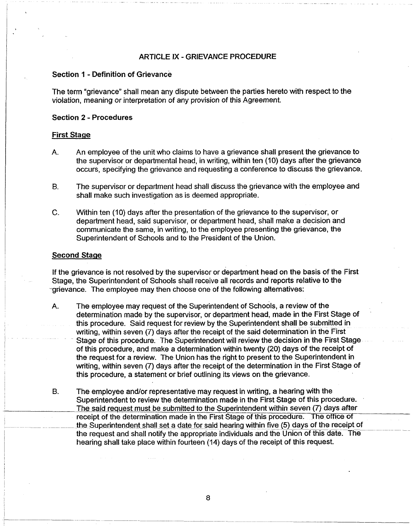#### **ARTICLE IX - GRIEVANCE PROCEDURE**

#### **Section 1 - Definition of Grievance**

The term "grievance" shall mean any dispute between the parties hereto with respect to the violation, meaning or interpretation of any provision of this Agreement.

#### **Section 2 - Procedures**

#### **First Stage**

- A. An employee of the unit who claims to have a grievance shall present the grievance to the supervisor or departmental head, in writing, within ten (10) days after the grievance occurs, specifying the grievance and requesting a conference to discuss the grievance.
- B. The supervisor or department head shall discuss the grievance with the employee and shall make such investigation as is deemed appropriate.
- C. Within ten (10) days after the presentation of the grievance to the supervisor, or department head, said supervisor, or department head, shall make a decision and communicate the same, in writing, to the employee presenting the grievance, the Superintendent of Schools and to the President of the Union.

#### **Second Stage**

If the grievance is not resolved by the supervisor or department head on the basis of the First Stage, the Superintendent of Schools shall receive all records and reports relative to the grievance. The employee may then choose one of the following alternatives:

- A. The employee may request of the Superintendent of Schools, a review of the determination made by the supervisor, or department head, made in the First Stage of this procedure. Said request for review by the Superintendent shall be submitted in writing, within seven (7) days after the receipt of the said determination in the First Stage of this procedure. The Superintendent will review the decision in the First Stage of this procedure, and make a determination within twenty (20) days of the receipt of the request for a review. The Union has the right to present to the Superintendent in writing, within seven (7) days after the receipt of the determination in the First Stage of this procedure, a statement or brief outlining its views on the grievance.
- B. The employee and/or representative may request in writing, a hearing with the Superintendent to review the determination made in the First Stage of this procedure. The said request must be submitted to the Superintendent within seven (7) days after receipt of the determination made in the First Stage of this procedure. The office of the Superintendent shall set a date for said hearing within five (5) days of the receipt of the request and shall notify the appropriate individuals and the Union of this date. The hearing shall take place within fourteen (14) days of the receipt of this request.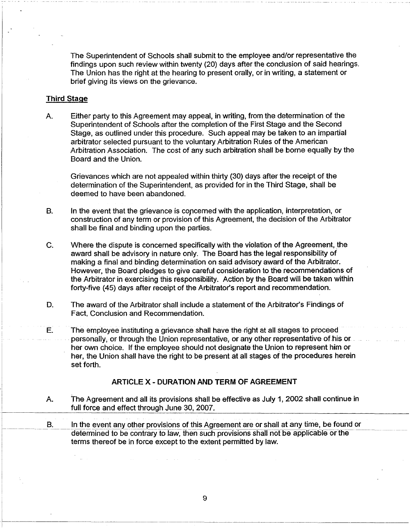The Superintendent of Schools shall submit to the employee and/or representative the findings upon such review within twenty (20) days after the conclusion of said hearings. The Union has the right at the hearing to present orally, or in writing, a statement or brief giving its views on the grievance.

#### **Third Stage**

A. Either party to this Agreement may appeal, in writing, from the determination of the Superintendent of Schools after the completion of the First Stage and the Second Stage, as outlined under this procedure. Such appeal may be taken to an impartial arbitrator selected pursuant to the voluntary Arbitration Rules of the American Arbitration Association. The cost of any such arbitration shall be borne equally by the Board and the Union.

Grievances which are not appealed within thirty (30) days after the receipt of the determination of the Superintendent, as provided for in the Third Stage, shall be deemed to have been abandoned.

- B. In the event that the grievance is concerned with the application, interpretation, or construction of any term or provision of this Agreement, the decision of the Arbitrator shall be final and binding upon the parties.
- C. Where the dispute is concerned specifically with the violation of the Agreement, the award shall be advisory in nature only. The Board has the legal responsibility of making a final and binding determination on said advisory award of the Arbitrator. However, the Board pledges to give careful consideration to the recommendations of the Arbitrator in exercising this responsibility. Action by the Board will be taken within forty-five (45) days after receipt of the Arbitrator's report and recommendation.
- D. The award of the Arbitrator shall include a statement of the Arbitrator's Findings of Fact, Conclusion and Recommendation.
- E. The employee instituting a grievance shall have the right at all stages to proceed personally, or through the Union representative, or any other representative of his or her own choice. If the employee should not designate the Union to represent him or her, the Union shall have the right to be present at all stages of the procedures herein set forth.

#### ARTICLE X - DURATION AND TERM OF AGREEMENT

- A. The Agreement and all its provisions shall be effective as July 1, 2002 shall continue in full force and effect through June 30, 2007.
- B. In the event any other provisions of this Agreement are or shall at any time, be found or determined to be contrary to law, then such provisions shall not be applicable or the terms thereof be in force except to the extent permitted by law.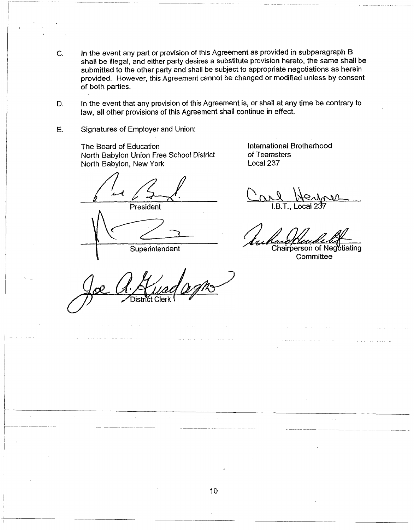- In the event any part or provision of this Agreement as provided in subparagraph B C. shall be illegal, and either party desires a substitute provision hereto, the same shall be submitted to the other party and shall be subject to appropriate negotiations as herein provided. However, this Agreement cannot be changed or modified unless by consent of both parties.
- In the event that any provision of this Agreement is, or shall at any time be contrary to D. law, all other provisions of this Agreement shall continue in effect.
- Signatures of Employer and Union: E.

The Board of Education North Babylon Union Free School District North Babylon, New York

President

Superintendent

**Cler** 

International Brotherhood of Teamsters Local 237

Chairperson of Negotiating Committee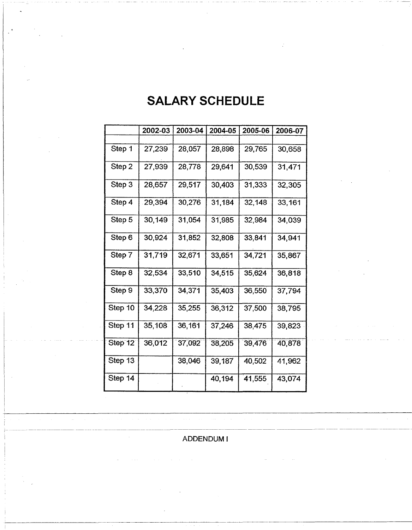|         | 2002-03 | 2003-04 | 2004-05 | 2005-06 | 2006-07 |
|---------|---------|---------|---------|---------|---------|
|         |         |         |         |         |         |
| Step 1  | 27,239  | 28,057  | 28,898  | 29,765  | 30,658  |
| Step 2  | 27,939  | 28,778  | 29,641  | 30,539  | 31,471  |
| Step 3  | 28,657  | 29,517  | 30,403  | 31,333  | 32,305  |
| Step 4  | 29,394  | 30,276  | 31,184  | 32,148  | 33,161  |
| Step 5  | 30,149  | 31,054  | 31,985  | 32,984  | 34,039  |
| Step 6  | 30,924  | 31,852  | 32,808  | 33,841  | 34,941  |
| Step 7  | 31,719  | 32,671  | 33,651  | 34,721  | 35,867  |
| Step 8  | 32,534  | 33,510  | 34,515  | 35,624  | 36,818  |
| Step 9  | 33,370  | 34,371  | 35,403  | 36,550  | 37,794  |
| Step 10 | 34,228  | 35,255  | 36,312  | 37,500  | 38,795  |
| Step 11 | 35,108  | 36,161  | 37,246  | 38,475  | 39,823  |
| Step 12 | 36,012  | 37,092  | 38,205  | 39,476  | 40,878  |
| Step 13 |         | 38,046  | 39,187  | 40,502  | 41,962  |
| Step 14 |         |         | 40,194  | 41,555  | 43,074  |

# **SALARY SCHEDULE**

**ADDENDUM I**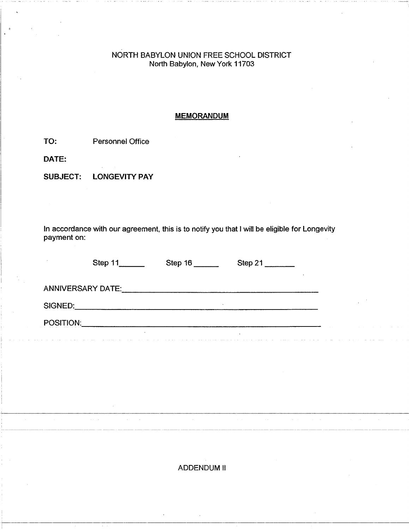## **NORTH BABYLON UNION FREE SCHOOL DISTRICT North Babylon, New York 11703**

#### MEMORANDUM

TO: Personnel Office

DATE:

SUBJECT: LONGEVITY PAY

In accordance with our agreement, this is to notify you that I will be eligible for Longevity payment on:

|                   | Step 11 | Step 16 | Step 21 |         |
|-------------------|---------|---------|---------|---------|
| ANNIVERSARY DATE: |         |         |         |         |
| SIGNED:           |         | ٠       |         | $\cdot$ |
| POSITION:         |         |         |         |         |
|                   |         |         |         |         |

**ADDENDUM II**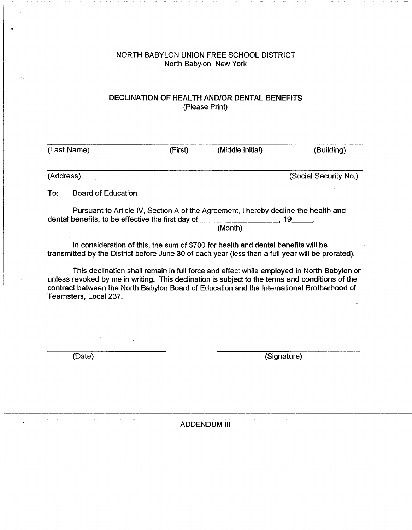#### **NORTH BABYLON UNION FREE SCHOOL DISTRICT North Babylon, New York**  $\bar{z}$

## DECLINATION OF HEALTH AND/OR DENTAL BENEFITS (Please Print)

|           | (Last Name)                                                                                       | (First) | (Middle Initial)                                                                               | (Building)                                                                                                                                                                                                                                                                                 |
|-----------|---------------------------------------------------------------------------------------------------|---------|------------------------------------------------------------------------------------------------|--------------------------------------------------------------------------------------------------------------------------------------------------------------------------------------------------------------------------------------------------------------------------------------------|
|           |                                                                                                   |         |                                                                                                |                                                                                                                                                                                                                                                                                            |
| (Address) |                                                                                                   |         |                                                                                                | (Social Security No.)                                                                                                                                                                                                                                                                      |
| To:       | <b>Board of Education</b>                                                                         |         |                                                                                                |                                                                                                                                                                                                                                                                                            |
|           | dental benefits, to be effective the first day of _____________________, 19______.                |         | Pursuant to Article IV, Section A of the Agreement, I hereby decline the health and<br>(Month) |                                                                                                                                                                                                                                                                                            |
|           |                                                                                                   |         | In consideration of this, the sum of \$700 for health and dental benefits will be              |                                                                                                                                                                                                                                                                                            |
|           | transmitted by the District before June 30 of each year (less than a full year will be prorated). |         |                                                                                                |                                                                                                                                                                                                                                                                                            |
|           | Teamsters, Local 237.                                                                             |         |                                                                                                | This declination shall remain in full force and effect while employed in North Babylon or<br>unless revoked by me in writing. This declination is subject to the terms and conditions of the<br>contract between the North Babylon Board of Education and the International Brotherhood of |
|           |                                                                                                   |         |                                                                                                |                                                                                                                                                                                                                                                                                            |

**ADDENDUM III**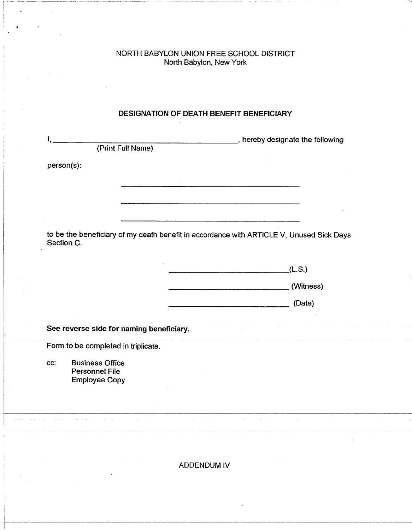#### **NORTH BABYLON UNION FREE SCHOOL DISTRICT North Babylon, New York**

# **DESIGNATION OF DEATH BENEFIT BENEFICIARY** L **hereby designate the following** (Print Full Name) person(s): to be the beneficiary of my death benefit in accordance with ARTICLE V, Unused Sick Days Section C. .(L.S.) (Witness) (Date) **See reverse side for naming beneficiary.** Form to be completed in triplicate. cc: Business Office Personnel File Employee Copy **ADDENDUM IV**